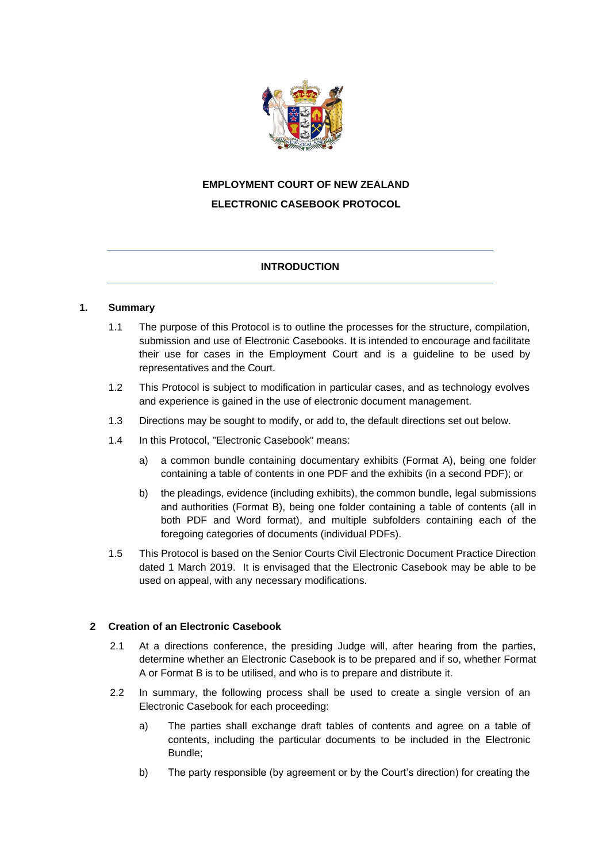

# **EMPLOYMENT COURT OF NEW ZEALAND ELECTRONIC CASEBOOK PROTOCOL**

# **INTRODUCTION**

# **1. Summary**

- 1.1 The purpose of this Protocol is to outline the processes for the structure, compilation, submission and use of Electronic Casebooks. It is intended to encourage and facilitate their use for cases in the Employment Court and is a guideline to be used by representatives and the Court.
- 1.2 This Protocol is subject to modification in particular cases, and as technology evolves and experience is gained in the use of electronic document management.
- 1.3 Directions may be sought to modify, or add to, the default directions set out below.
- 1.4 In this Protocol, "Electronic Casebook" means:
	- a) a common bundle containing documentary exhibits (Format A), being one folder containing a table of contents in one PDF and the exhibits (in a second PDF); or
	- b) the pleadings, evidence (including exhibits), the common bundle, legal submissions and authorities (Format B), being one folder containing a table of contents (all in both PDF and Word format), and multiple subfolders containing each of the foregoing categories of documents (individual PDFs).
- 1.5 This Protocol is based on the Senior Courts Civil Electronic Document Practice Direction dated 1 March 2019. It is envisaged that the Electronic Casebook may be able to be used on appeal, with any necessary modifications.

### **2 Creation of an Electronic Casebook**

- 2.1 At a directions conference, the presiding Judge will, after hearing from the parties, determine whether an Electronic Casebook is to be prepared and if so, whether Format A or Format B is to be utilised, and who is to prepare and distribute it.
- 2.2 In summary, the following process shall be used to create a single version of an Electronic Casebook for each proceeding:
	- a) The parties shall exchange draft tables of contents and agree on a table of contents, including the particular documents to be included in the Electronic Bundle;
	- b) The party responsible (by agreement or by the Court's direction) for creating the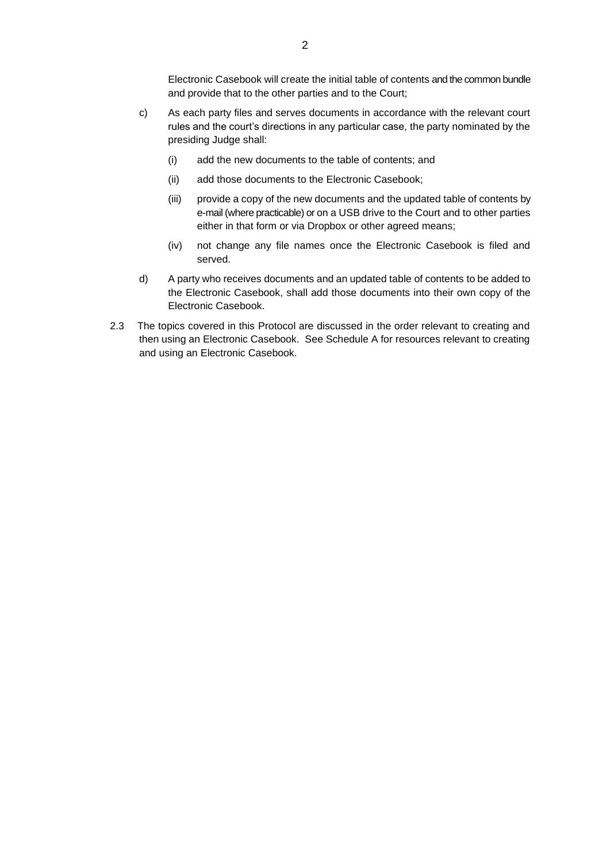Electronic Casebook will create the initial table of contents and the common bundle and provide that to the other parties and to the Court;

- c) As each party files and serves documents in accordance with the relevant court rules and the court's directions in any particular case, the party nominated by the presiding Judge shall:
	- (i) add the new documents to the table of contents; and
	- (ii) add those documents to the Electronic Casebook;
	- (iii) provide a copy of the new documents and the updated table of contents by e-mail (where practicable) or on a USB drive to the Court and to other parties either in that form or via Dropbox or other agreed means;
	- (iv) not change any file names once the Electronic Casebook is filed and served.
- d) A party who receives documents and an updated table of contents to be added to the Electronic Casebook, shall add those documents into their own copy of the Electronic Casebook.
- 2.3 The topics covered in this Protocol are discussed in the order relevant to creating and then using an Electronic Casebook. See Schedule A for resources relevant to creating and using an Electronic Casebook.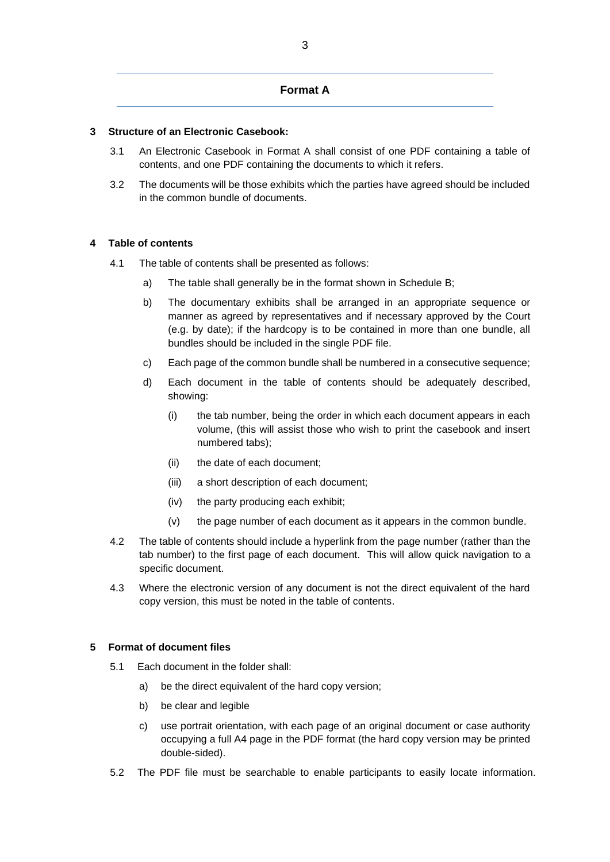## **Format A**

#### **3 Structure of an Electronic Casebook:**

- 3.1 An Electronic Casebook in Format A shall consist of one PDF containing a table of contents, and one PDF containing the documents to which it refers.
- 3.2 The documents will be those exhibits which the parties have agreed should be included in the common bundle of documents.

#### **4 Table of contents**

- 4.1 The table of contents shall be presented as follows:
	- a) The table shall generally be in the format shown in Schedule B;
	- b) The documentary exhibits shall be arranged in an appropriate sequence or manner as agreed by representatives and if necessary approved by the Court (e.g. by date); if the hardcopy is to be contained in more than one bundle, all bundles should be included in the single PDF file.
	- c) Each page of the common bundle shall be numbered in a consecutive sequence;
	- d) Each document in the table of contents should be adequately described, showing:
		- (i) the tab number, being the order in which each document appears in each volume, (this will assist those who wish to print the casebook and insert numbered tabs);
		- (ii) the date of each document;
		- (iii) a short description of each document;
		- (iv) the party producing each exhibit;
		- (v) the page number of each document as it appears in the common bundle.
- 4.2 The table of contents should include a hyperlink from the page number (rather than the tab number) to the first page of each document. This will allow quick navigation to a specific document.
- 4.3 Where the electronic version of any document is not the direct equivalent of the hard copy version, this must be noted in the table of contents.

#### **5 Format of document files**

- 5.1 Each document in the folder shall:
	- a) be the direct equivalent of the hard copy version;
	- b) be clear and legible
	- c) use portrait orientation, with each page of an original document or case authority occupying a full A4 page in the PDF format (the hard copy version may be printed double-sided).
- 5.2 The PDF file must be searchable to enable participants to easily locate information.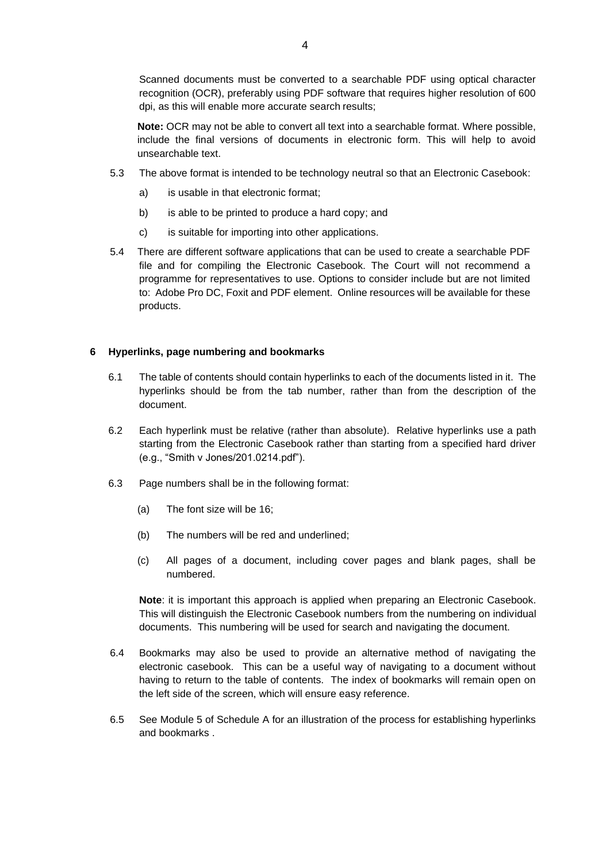Scanned documents must be converted to a searchable PDF using optical character recognition (OCR), preferably using PDF software that requires higher resolution of 600 dpi, as this will enable more accurate search results;

**Note:** OCR may not be able to convert all text into a searchable format. Where possible, include the final versions of documents in electronic form. This will help to avoid unsearchable text.

- 5.3 The above format is intended to be technology neutral so that an Electronic Casebook:
	- a) is usable in that electronic format;
	- b) is able to be printed to produce a hard copy; and
	- c) is suitable for importing into other applications.
- 5.4 There are different software applications that can be used to create a searchable PDF file and for compiling the Electronic Casebook. The Court will not recommend a programme for representatives to use. Options to consider include but are not limited to: Adobe Pro DC, Foxit and PDF element. Online resources will be available for these products.

#### **6 Hyperlinks, page numbering and bookmarks**

- 6.1 The table of contents should contain hyperlinks to each of the documents listed in it. The hyperlinks should be from the tab number, rather than from the description of the document.
- 6.2 Each hyperlink must be relative (rather than absolute). Relative hyperlinks use a path starting from the Electronic Casebook rather than starting from a specified hard driver (e.g., "Smith v Jones/201.0214.pdf").
- 6.3 Page numbers shall be in the following format:
	- (a) The font size will be 16;
	- (b) The numbers will be red and underlined;
	- (c) All pages of a document, including cover pages and blank pages, shall be numbered.

**Note**: it is important this approach is applied when preparing an Electronic Casebook. This will distinguish the Electronic Casebook numbers from the numbering on individual documents. This numbering will be used for search and navigating the document.

- 6.4 Bookmarks may also be used to provide an alternative method of navigating the electronic casebook. This can be a useful way of navigating to a document without having to return to the table of contents. The index of bookmarks will remain open on the left side of the screen, which will ensure easy reference.
- 6.5 See Module 5 of Schedule A for an illustration of the process for establishing hyperlinks and bookmarks .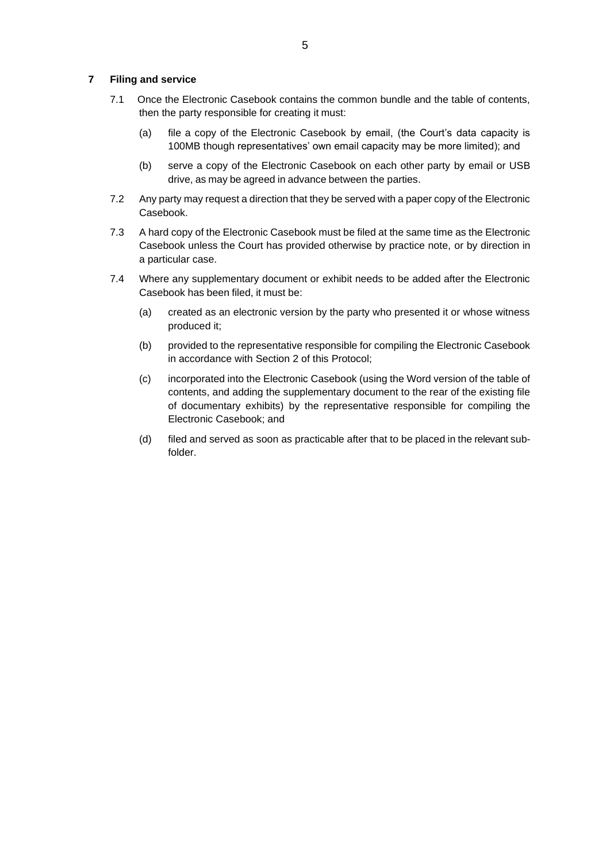#### **7 Filing and service**

- 7.1 Once the Electronic Casebook contains the common bundle and the table of contents, then the party responsible for creating it must:
	- (a) file a copy of the Electronic Casebook by email, (the Court's data capacity is 100MB though representatives' own email capacity may be more limited); and
	- (b) serve a copy of the Electronic Casebook on each other party by email or USB drive, as may be agreed in advance between the parties.
- 7.2 Any party may request a direction that they be served with a paper copy of the Electronic Casebook.
- 7.3 A hard copy of the Electronic Casebook must be filed at the same time as the Electronic Casebook unless the Court has provided otherwise by practice note, or by direction in a particular case.
- 7.4 Where any supplementary document or exhibit needs to be added after the Electronic Casebook has been filed, it must be:
	- (a) created as an electronic version by the party who presented it or whose witness produced it;
	- (b) provided to the representative responsible for compiling the Electronic Casebook in accordance with Section 2 of this Protocol;
	- (c) incorporated into the Electronic Casebook (using the Word version of the table of contents, and adding the supplementary document to the rear of the existing file of documentary exhibits) by the representative responsible for compiling the Electronic Casebook; and
	- (d) filed and served as soon as practicable after that to be placed in the relevant subfolder.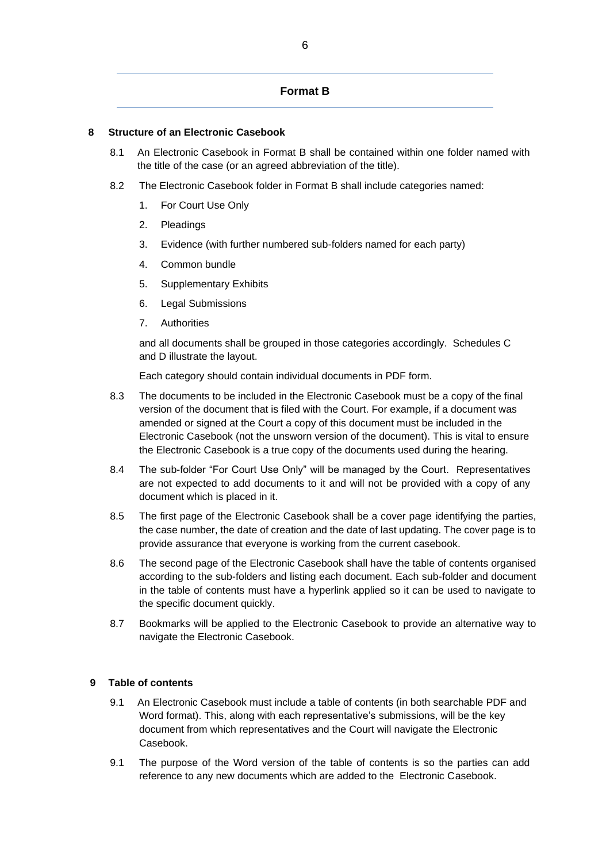### **Format B**

# **8 Structure of an Electronic Casebook**

- 8.1 An Electronic Casebook in Format B shall be contained within one folder named with the title of the case (or an agreed abbreviation of the title).
- 8.2 The Electronic Casebook folder in Format B shall include categories named:
	- 1. For Court Use Only
	- 2. Pleadings
	- 3. Evidence (with further numbered sub-folders named for each party)
	- 4. Common bundle
	- 5. Supplementary Exhibits
	- 6. Legal Submissions
	- 7. Authorities

and all documents shall be grouped in those categories accordingly. Schedules C and D illustrate the layout.

Each category should contain individual documents in PDF form.

- 8.3 The documents to be included in the Electronic Casebook must be a copy of the final version of the document that is filed with the Court. For example, if a document was amended or signed at the Court a copy of this document must be included in the Electronic Casebook (not the unsworn version of the document). This is vital to ensure the Electronic Casebook is a true copy of the documents used during the hearing.
- 8.4 The sub-folder "For Court Use Only" will be managed by the Court. Representatives are not expected to add documents to it and will not be provided with a copy of any document which is placed in it.
- 8.5 The first page of the Electronic Casebook shall be a cover page identifying the parties, the case number, the date of creation and the date of last updating. The cover page is to provide assurance that everyone is working from the current casebook.
- 8.6 The second page of the Electronic Casebook shall have the table of contents organised according to the sub-folders and listing each document. Each sub-folder and document in the table of contents must have a hyperlink applied so it can be used to navigate to the specific document quickly.
- 8.7 Bookmarks will be applied to the Electronic Casebook to provide an alternative way to navigate the Electronic Casebook.

# **9 Table of contents**

- 9.1 An Electronic Casebook must include a table of contents (in both searchable PDF and Word format). This, along with each representative's submissions, will be the key document from which representatives and the Court will navigate the Electronic Casebook.
- 9.1 The purpose of the Word version of the table of contents is so the parties can add reference to any new documents which are added to the Electronic Casebook.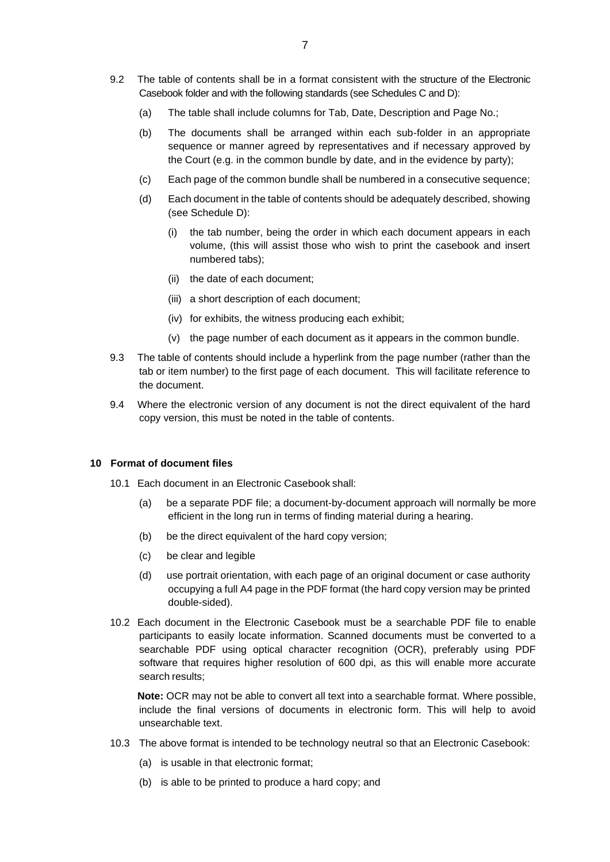- 9.2 The table of contents shall be in a format consistent with the structure of the Electronic Casebook folder and with the following standards (see Schedules C and D):
	- (a) The table shall include columns for Tab, Date, Description and Page No.;
	- (b) The documents shall be arranged within each sub-folder in an appropriate sequence or manner agreed by representatives and if necessary approved by the Court (e.g. in the common bundle by date, and in the evidence by party);
	- (c) Each page of the common bundle shall be numbered in a consecutive sequence;
	- (d) Each document in the table of contents should be adequately described, showing (see Schedule D):
		- the tab number, being the order in which each document appears in each volume, (this will assist those who wish to print the casebook and insert numbered tabs);
		- (ii) the date of each document;
		- (iii) a short description of each document;
		- (iv) for exhibits, the witness producing each exhibit;
		- (v) the page number of each document as it appears in the common bundle.
- 9.3 The table of contents should include a hyperlink from the page number (rather than the tab or item number) to the first page of each document. This will facilitate reference to the document.
- 9.4 Where the electronic version of any document is not the direct equivalent of the hard copy version, this must be noted in the table of contents.

#### **10 Format of document files**

- 10.1 Each document in an Electronic Casebook shall:
	- (a) be a separate PDF file; a document-by-document approach will normally be more efficient in the long run in terms of finding material during a hearing.
	- (b) be the direct equivalent of the hard copy version;
	- (c) be clear and legible
	- (d) use portrait orientation, with each page of an original document or case authority occupying a full A4 page in the PDF format (the hard copy version may be printed double-sided).
- 10.2 Each document in the Electronic Casebook must be a searchable PDF file to enable participants to easily locate information. Scanned documents must be converted to a searchable PDF using optical character recognition (OCR), preferably using PDF software that requires higher resolution of 600 dpi, as this will enable more accurate search results;

**Note:** OCR may not be able to convert all text into a searchable format. Where possible, include the final versions of documents in electronic form. This will help to avoid unsearchable text.

- 10.3 The above format is intended to be technology neutral so that an Electronic Casebook:
	- (a) is usable in that electronic format;
	- (b) is able to be printed to produce a hard copy; and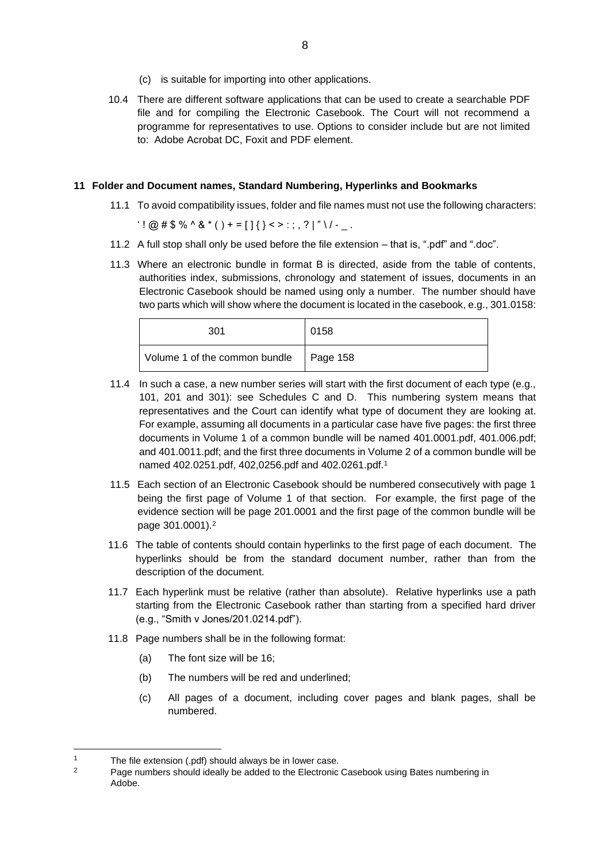- (c) is suitable for importing into other applications.
- 10.4 There are different software applications that can be used to create a searchable PDF file and for compiling the Electronic Casebook. The Court will not recommend a programme for representatives to use. Options to consider include but are not limited to: Adobe Acrobat DC, Foxit and PDF element.

## **11 Folder and Document names, Standard Numbering, Hyperlinks and Bookmarks**

11.1 To avoid compatibility issues, folder and file names must not use the following characters:

 $'$ ! @ # \$ % ^ & \* ( ) + = [ ] { } < > : ; , ? | " \ / - \_ .

- 11.2 A full stop shall only be used before the file extension that is, ".pdf" and ".doc".
- 11.3 Where an electronic bundle in format B is directed, aside from the table of contents, authorities index, submissions, chronology and statement of issues, documents in an Electronic Casebook should be named using only a number. The number should have two parts which will show where the document is located in the casebook, e.g., 301.0158:

| 301                           | 0158             |
|-------------------------------|------------------|
| Volume 1 of the common bundle | $\vert$ Page 158 |

- 11.4 In such a case, a new number series will start with the first document of each type (e.g., 101, 201 and 301): see Schedules C and D. This numbering system means that representatives and the Court can identify what type of document they are looking at. For example, assuming all documents in a particular case have five pages: the first three documents in Volume 1 of a common bundle will be named 401.0001.pdf, 401.006.pdf; and 401.0011.pdf; and the first three documents in Volume 2 of a common bundle will be named 402.0251.pdf, 402,0256.pdf and 402.0261.pdf.<sup>1</sup>
- 11.5 Each section of an Electronic Casebook should be numbered consecutively with page 1 being the first page of Volume 1 of that section. For example, the first page of the evidence section will be page 201.0001 and the first page of the common bundle will be page 301.0001).<sup>2</sup>
- 11.6 The table of contents should contain hyperlinks to the first page of each document. The hyperlinks should be from the standard document number, rather than from the description of the document.
- 11.7 Each hyperlink must be relative (rather than absolute). Relative hyperlinks use a path starting from the Electronic Casebook rather than starting from a specified hard driver (e.g., "Smith v Jones/201.0214.pdf").
- 11.8 Page numbers shall be in the following format:
	- (a) The font size will be 16;
	- (b) The numbers will be red and underlined;
	- (c) All pages of a document, including cover pages and blank pages, shall be numbered.

<sup>1</sup> The file extension (.pdf) should always be in lower case.<br>2 Bage numbers should ideally be added to the Electronic

Page numbers should ideally be added to the Electronic Casebook using Bates numbering in Adobe.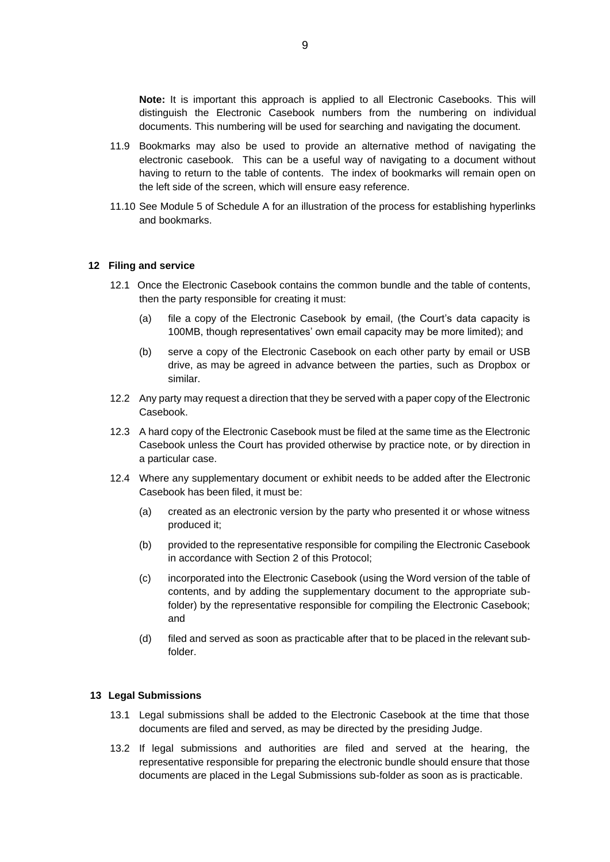**Note:** It is important this approach is applied to all Electronic Casebooks. This will distinguish the Electronic Casebook numbers from the numbering on individual documents. This numbering will be used for searching and navigating the document.

- 11.9 Bookmarks may also be used to provide an alternative method of navigating the electronic casebook. This can be a useful way of navigating to a document without having to return to the table of contents. The index of bookmarks will remain open on the left side of the screen, which will ensure easy reference.
- 11.10 See Module 5 of Schedule A for an illustration of the process for establishing hyperlinks and bookmarks.

#### **12 Filing and service**

- 12.1 Once the Electronic Casebook contains the common bundle and the table of contents, then the party responsible for creating it must:
	- (a) file a copy of the Electronic Casebook by email, (the Court's data capacity is 100MB, though representatives' own email capacity may be more limited); and
	- (b) serve a copy of the Electronic Casebook on each other party by email or USB drive, as may be agreed in advance between the parties, such as Dropbox or similar.
- 12.2 Any party may request a direction that they be served with a paper copy of the Electronic Casebook.
- 12.3 A hard copy of the Electronic Casebook must be filed at the same time as the Electronic Casebook unless the Court has provided otherwise by practice note, or by direction in a particular case.
- 12.4 Where any supplementary document or exhibit needs to be added after the Electronic Casebook has been filed, it must be:
	- (a) created as an electronic version by the party who presented it or whose witness produced it;
	- (b) provided to the representative responsible for compiling the Electronic Casebook in accordance with Section 2 of this Protocol;
	- (c) incorporated into the Electronic Casebook (using the Word version of the table of contents, and by adding the supplementary document to the appropriate subfolder) by the representative responsible for compiling the Electronic Casebook; and
	- (d) filed and served as soon as practicable after that to be placed in the relevant subfolder.

#### **13 Legal Submissions**

- 13.1 Legal submissions shall be added to the Electronic Casebook at the time that those documents are filed and served, as may be directed by the presiding Judge.
- 13.2 If legal submissions and authorities are filed and served at the hearing, the representative responsible for preparing the electronic bundle should ensure that those documents are placed in the Legal Submissions sub-folder as soon as is practicable.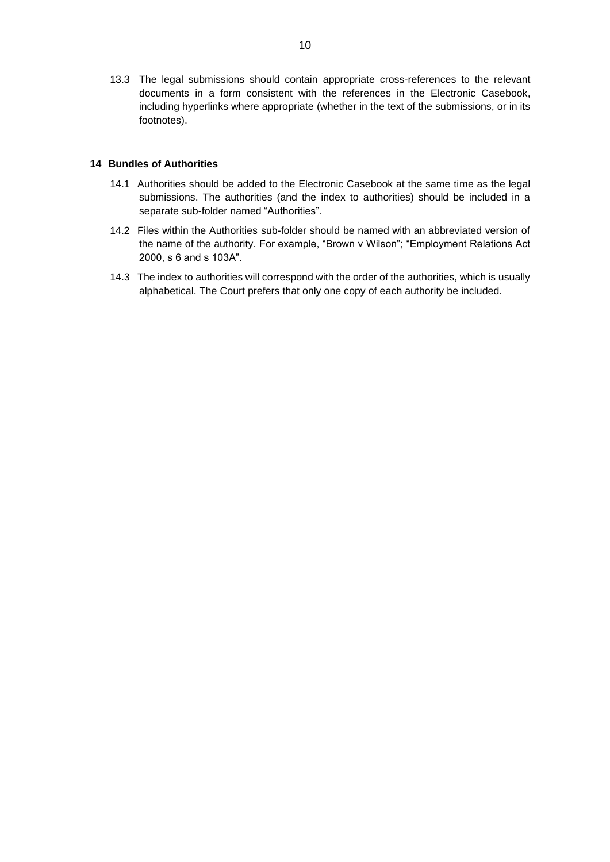13.3 The legal submissions should contain appropriate cross-references to the relevant documents in a form consistent with the references in the Electronic Casebook, including hyperlinks where appropriate (whether in the text of the submissions, or in its footnotes).

#### **14 Bundles of Authorities**

- 14.1 Authorities should be added to the Electronic Casebook at the same time as the legal submissions. The authorities (and the index to authorities) should be included in a separate sub-folder named "Authorities".
- 14.2 Files within the Authorities sub-folder should be named with an abbreviated version of the name of the authority. For example, "Brown v Wilson"; "Employment Relations Act 2000, s 6 and s 103A".
- 14.3 The index to authorities will correspond with the order of the authorities, which is usually alphabetical. The Court prefers that only one copy of each authority be included.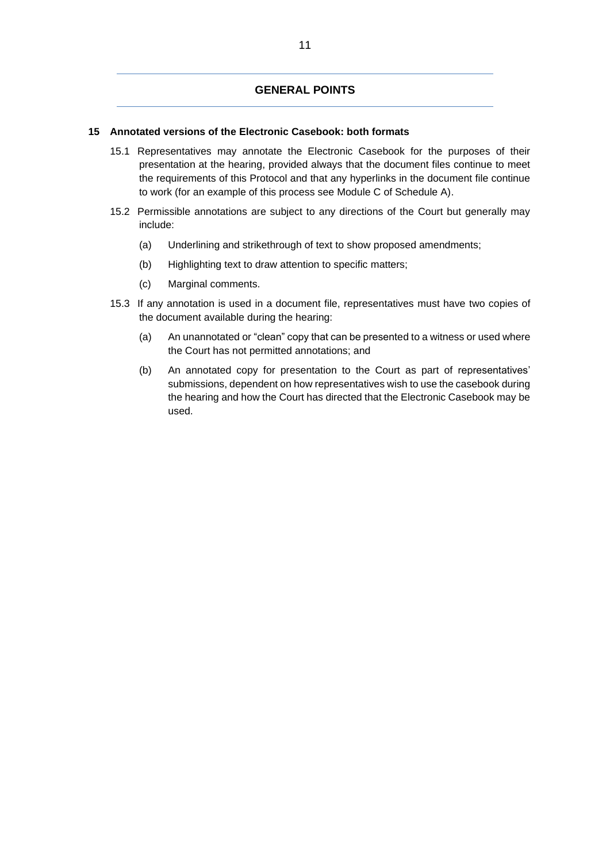## **GENERAL POINTS**

## **15 Annotated versions of the Electronic Casebook: both formats**

- 15.1 Representatives may annotate the Electronic Casebook for the purposes of their presentation at the hearing, provided always that the document files continue to meet the requirements of this Protocol and that any hyperlinks in the document file continue to work (for an example of this process see Module C of Schedule A).
- 15.2 Permissible annotations are subject to any directions of the Court but generally may include:
	- (a) Underlining and strikethrough of text to show proposed amendments;
	- (b) Highlighting text to draw attention to specific matters;
	- (c) Marginal comments.
- 15.3 If any annotation is used in a document file, representatives must have two copies of the document available during the hearing:
	- (a) An unannotated or "clean" copy that can be presented to a witness or used where the Court has not permitted annotations; and
	- (b) An annotated copy for presentation to the Court as part of representatives' submissions, dependent on how representatives wish to use the casebook during the hearing and how the Court has directed that the Electronic Casebook may be used.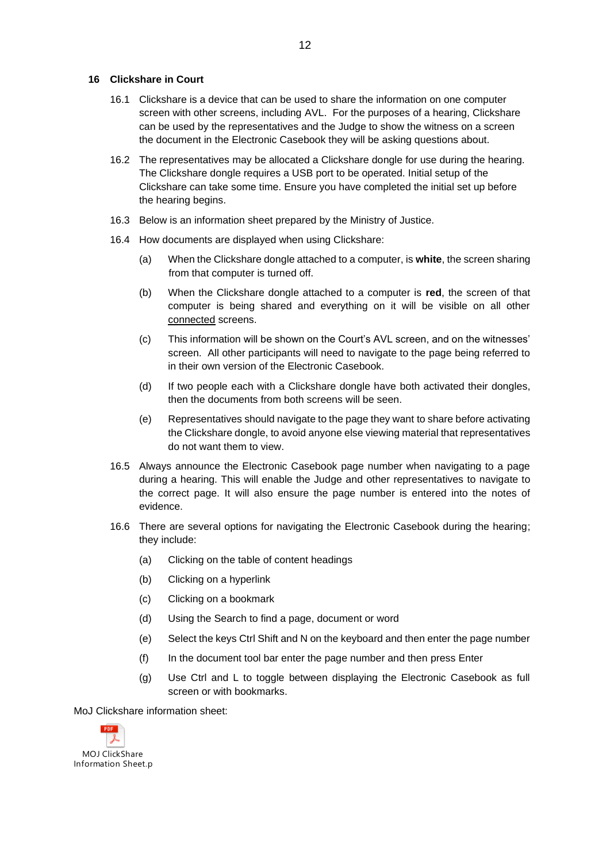#### **16 Clickshare in Court**

- 16.1 Clickshare is a device that can be used to share the information on one computer screen with other screens, including AVL. For the purposes of a hearing, Clickshare can be used by the representatives and the Judge to show the witness on a screen the document in the Electronic Casebook they will be asking questions about.
- 16.2 The representatives may be allocated a Clickshare dongle for use during the hearing. The Clickshare dongle requires a USB port to be operated. Initial setup of the Clickshare can take some time. Ensure you have completed the initial set up before the hearing begins.
- 16.3 Below is an information sheet prepared by the Ministry of Justice.
- 16.4 How documents are displayed when using Clickshare:
	- (a) When the Clickshare dongle attached to a computer, is **white**, the screen sharing from that computer is turned off.
	- (b) When the Clickshare dongle attached to a computer is **red**, the screen of that computer is being shared and everything on it will be visible on all other connected screens.
	- (c) This information will be shown on the Court's AVL screen, and on the witnesses' screen. All other participants will need to navigate to the page being referred to in their own version of the Electronic Casebook.
	- (d) If two people each with a Clickshare dongle have both activated their dongles, then the documents from both screens will be seen.
	- (e) Representatives should navigate to the page they want to share before activating the Clickshare dongle, to avoid anyone else viewing material that representatives do not want them to view.
- 16.5 Always announce the Electronic Casebook page number when navigating to a page during a hearing. This will enable the Judge and other representatives to navigate to the correct page. It will also ensure the page number is entered into the notes of evidence.
- 16.6 There are several options for navigating the Electronic Casebook during the hearing; they include:
	- (a) Clicking on the table of content headings
	- (b) Clicking on a hyperlink
	- (c) Clicking on a bookmark
	- (d) Using the Search to find a page, document or word
	- (e) Select the keys Ctrl Shift and N on the keyboard and then enter the page number
	- (f) In the document tool bar enter the page number and then press Enter
	- (g) Use Ctrl and L to toggle between displaying the Electronic Casebook as full screen or with bookmarks.

MoJ Clickshare information sheet:

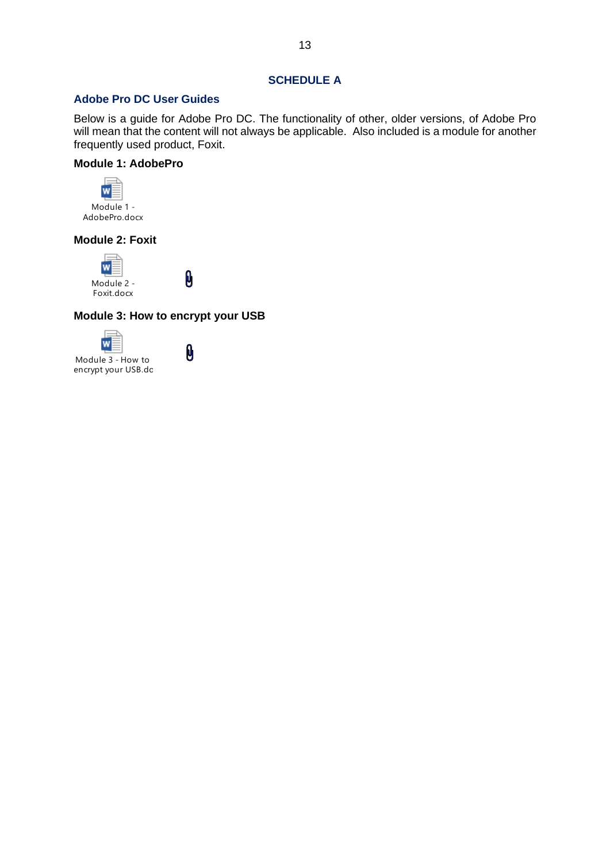# **SCHEDULE A**

# **Adobe Pro DC User Guides**

Below is a guide for Adobe Pro DC. The functionality of other, older versions, of Adobe Pro will mean that the content will not always be applicable. Also included is a module for another frequently used product, Foxit.

# **Module 1: AdobePro**



# **Module 2: Foxit**



0

# **Module 3: How to encrypt your USB**

0



0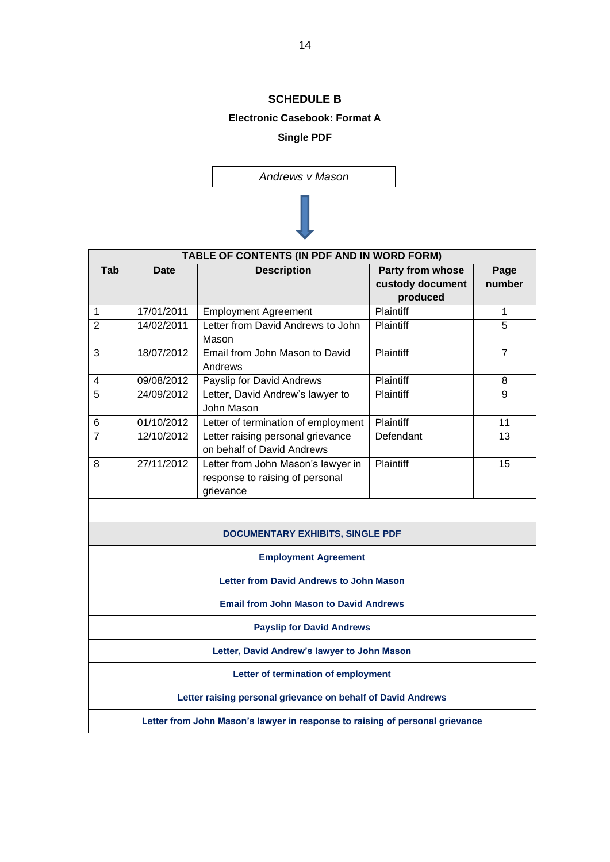# **SCHEDULE B**

#### **Electronic Casebook: Format A**

# **Single PDF**

*Andrews v Mason*

| TABLE OF CONTENTS (IN PDF AND IN WORD FORM)                                  |             |                                                                                    |                                                  |                |
|------------------------------------------------------------------------------|-------------|------------------------------------------------------------------------------------|--------------------------------------------------|----------------|
| Tab                                                                          | <b>Date</b> | <b>Description</b>                                                                 | Party from whose<br>custody document<br>produced | Page<br>number |
| 1                                                                            | 17/01/2011  | <b>Employment Agreement</b>                                                        | Plaintiff                                        | 1              |
| $\overline{2}$                                                               | 14/02/2011  | Letter from David Andrews to John<br>Mason                                         | Plaintiff                                        | $\overline{5}$ |
| 3                                                                            | 18/07/2012  | Email from John Mason to David<br>Andrews                                          | Plaintiff                                        | $\overline{7}$ |
| 4                                                                            | 09/08/2012  | Payslip for David Andrews                                                          | Plaintiff                                        | 8              |
| 5                                                                            | 24/09/2012  | Letter, David Andrew's lawyer to<br>John Mason                                     | Plaintiff                                        | 9              |
| $\,6$                                                                        | 01/10/2012  | Letter of termination of employment                                                | Plaintiff                                        | 11             |
| $\overline{7}$                                                               | 12/10/2012  | Letter raising personal grievance<br>on behalf of David Andrews                    | Defendant                                        | 13             |
| 8                                                                            | 27/11/2012  | Letter from John Mason's lawyer in<br>response to raising of personal<br>grievance | Plaintiff                                        | 15             |
|                                                                              |             | <b>DOCUMENTARY EXHIBITS, SINGLE PDF</b>                                            |                                                  |                |
| <b>Employment Agreement</b>                                                  |             |                                                                                    |                                                  |                |
| <b>Letter from David Andrews to John Mason</b>                               |             |                                                                                    |                                                  |                |
|                                                                              |             | <b>Email from John Mason to David Andrews</b>                                      |                                                  |                |
| <b>Payslip for David Andrews</b>                                             |             |                                                                                    |                                                  |                |
| Letter, David Andrew's lawyer to John Mason                                  |             |                                                                                    |                                                  |                |
| Letter of termination of employment                                          |             |                                                                                    |                                                  |                |
| Letter raising personal grievance on behalf of David Andrews                 |             |                                                                                    |                                                  |                |
| Letter from John Mason's lawyer in response to raising of personal grievance |             |                                                                                    |                                                  |                |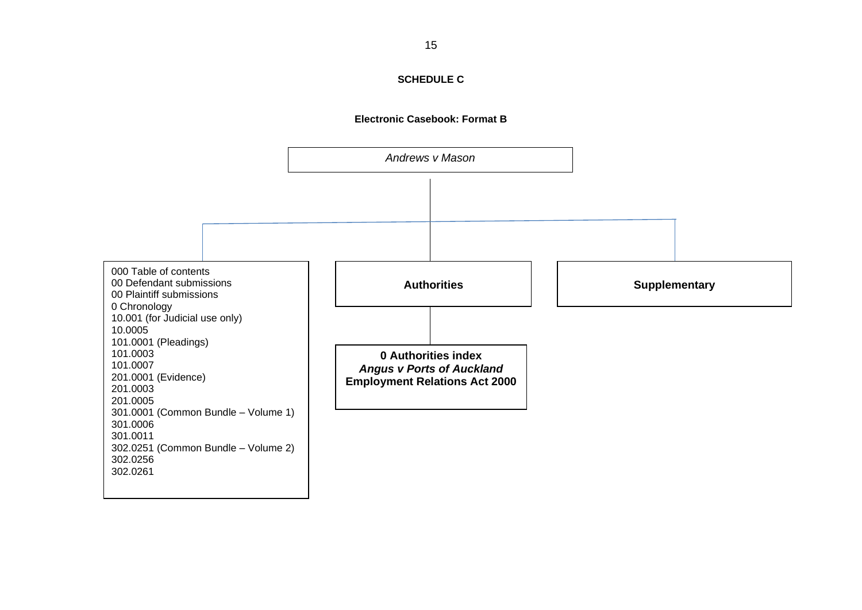

# **SCHEDULE C**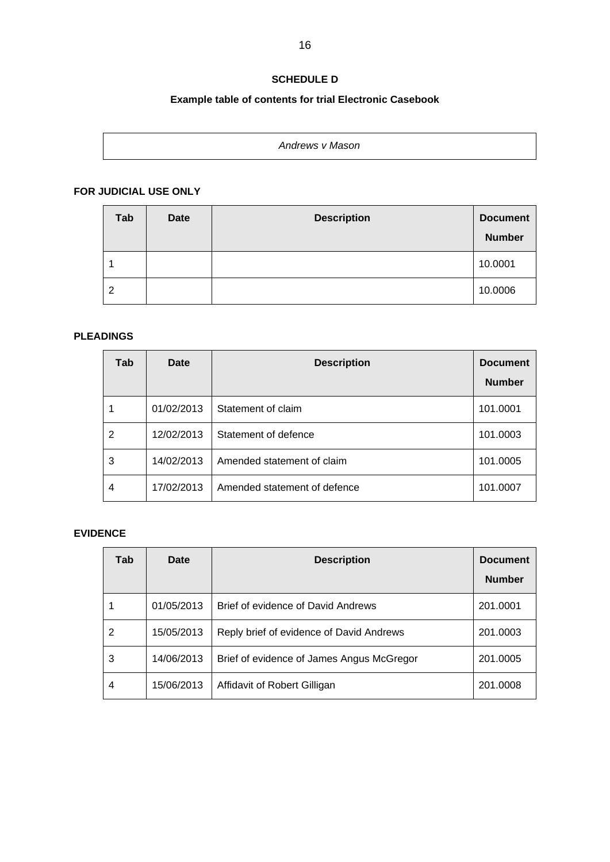# **SCHEDULE D**

# **Example table of contents for trial Electronic Casebook**

| Andrews v Mason |  |
|-----------------|--|
|                 |  |
|                 |  |

# **FOR JUDICIAL USE ONLY**

| Tab | <b>Date</b> | <b>Description</b> | <b>Document</b><br><b>Number</b> |
|-----|-------------|--------------------|----------------------------------|
|     |             |                    | 10.0001                          |
| 2   |             |                    | 10.0006                          |

# **PLEADINGS**

| Tab | Date       | <b>Description</b>           | <b>Document</b><br><b>Number</b> |
|-----|------------|------------------------------|----------------------------------|
|     | 01/02/2013 | Statement of claim           | 101.0001                         |
| 2   | 12/02/2013 | Statement of defence         | 101.0003                         |
| 3   | 14/02/2013 | Amended statement of claim   | 101.0005                         |
| 4   | 17/02/2013 | Amended statement of defence | 101.0007                         |

# **EVIDENCE**

| Tab | Date       | <b>Description</b>                        | <b>Document</b> |
|-----|------------|-------------------------------------------|-----------------|
|     |            |                                           | <b>Number</b>   |
|     | 01/05/2013 | Brief of evidence of David Andrews        | 201.0001        |
| 2   | 15/05/2013 | Reply brief of evidence of David Andrews  | 201.0003        |
| 3   | 14/06/2013 | Brief of evidence of James Angus McGregor | 201.0005        |
| 4   | 15/06/2013 | Affidavit of Robert Gilligan              | 201.0008        |